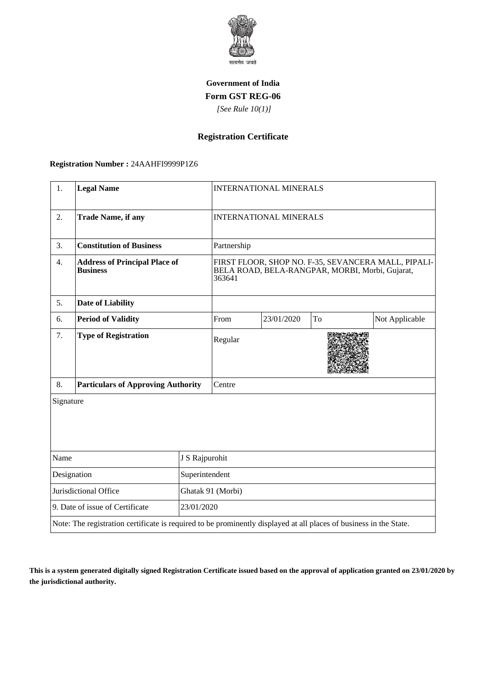

### **Government of India Form GST REG-06**

 *[See Rule 10(1)]*

# **Registration Certificate**

#### **Registration Number :** 24AAHFI9999P1Z6

| 1.                                                                                                                 | <b>Legal Name</b>                                       |                   | <b>INTERNATIONAL MINERALS</b>                                                                                    |            |    |                |  |
|--------------------------------------------------------------------------------------------------------------------|---------------------------------------------------------|-------------------|------------------------------------------------------------------------------------------------------------------|------------|----|----------------|--|
| 2.                                                                                                                 | <b>Trade Name, if any</b>                               |                   | <b>INTERNATIONAL MINERALS</b>                                                                                    |            |    |                |  |
| 3.                                                                                                                 | <b>Constitution of Business</b>                         |                   | Partnership                                                                                                      |            |    |                |  |
| 4.                                                                                                                 | <b>Address of Principal Place of</b><br><b>Business</b> |                   | FIRST FLOOR, SHOP NO. F-35, SEVANCERA MALL, PIPALI-<br>BELA ROAD, BELA-RANGPAR, MORBI, Morbi, Gujarat,<br>363641 |            |    |                |  |
| 5.                                                                                                                 | <b>Date of Liability</b>                                |                   |                                                                                                                  |            |    |                |  |
| 6.                                                                                                                 | <b>Period of Validity</b>                               |                   | From                                                                                                             | 23/01/2020 | To | Not Applicable |  |
| 7.                                                                                                                 | <b>Type of Registration</b>                             |                   | Regular                                                                                                          |            |    |                |  |
| 8.                                                                                                                 | <b>Particulars of Approving Authority</b>               |                   | Centre                                                                                                           |            |    |                |  |
| Signature                                                                                                          |                                                         |                   |                                                                                                                  |            |    |                |  |
| Name                                                                                                               |                                                         | J S Rajpurohit    |                                                                                                                  |            |    |                |  |
| Designation<br>Superintendent                                                                                      |                                                         |                   |                                                                                                                  |            |    |                |  |
| Jurisdictional Office                                                                                              |                                                         | Ghatak 91 (Morbi) |                                                                                                                  |            |    |                |  |
| 9. Date of issue of Certificate<br>23/01/2020                                                                      |                                                         |                   |                                                                                                                  |            |    |                |  |
| Note: The registration certificate is required to be prominently displayed at all places of business in the State. |                                                         |                   |                                                                                                                  |            |    |                |  |

**This is a system generated digitally signed Registration Certificate issued based on the approval of application granted on 23/01/2020 by the jurisdictional authority.**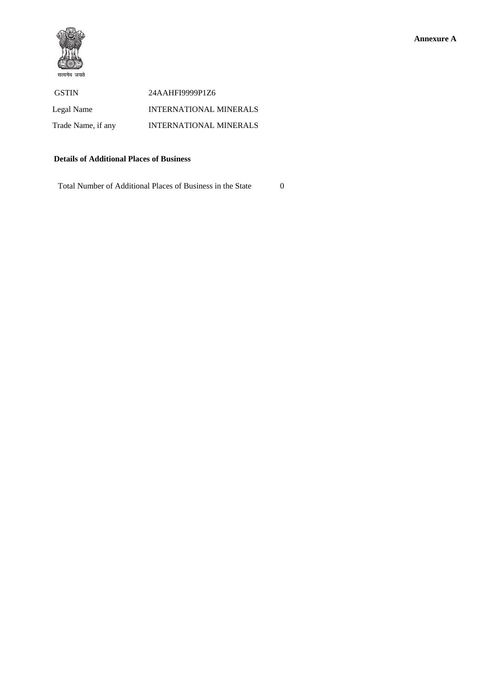

 GSTIN 24AAHFI9999P1Z6 Legal Name INTERNATIONAL MINERALS Trade Name, if any INTERNATIONAL MINERALS

### **Details of Additional Places of Business**

Total Number of Additional Places of Business in the State 0